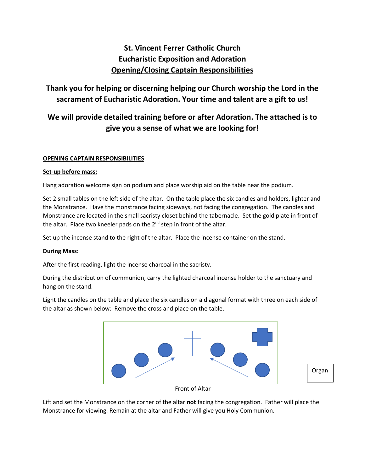# **St. Vincent Ferrer Catholic Church Eucharistic Exposition and Adoration Opening/Closing Captain Responsibilities**

## **Thank you for helping or discerning helping our Church worship the Lord in the sacrament of Eucharistic Adoration. Your time and talent are a gift to us!**

# **We will provide detailed training before or after Adoration. The attached is to give you a sense of what we are looking for!**

### **OPENING CAPTAIN RESPONSIBILITIES**

#### **Set-up before mass:**

Hang adoration welcome sign on podium and place worship aid on the table near the podium.

Set 2 small tables on the left side of the altar. On the table place the six candles and holders, lighter and the Monstrance. Have the monstrance facing sideways, not facing the congregation. The candles and Monstrance are located in the small sacristy closet behind the tabernacle. Set the gold plate in front of the altar. Place two kneeler pads on the 2<sup>nd</sup> step in front of the altar.

Set up the incense stand to the right of the altar. Place the incense container on the stand.

#### **During Mass:**

After the first reading, light the incense charcoal in the sacristy.

During the distribution of communion, carry the lighted charcoal incense holder to the sanctuary and hang on the stand.

Light the candles on the table and place the six candles on a diagonal format with three on each side of the altar as shown below: Remove the cross and place on the table.



Front of Altar

Lift and set the Monstrance on the corner of the altar **not** facing the congregation. Father will place the Monstrance for viewing. Remain at the altar and Father will give you Holy Communion.